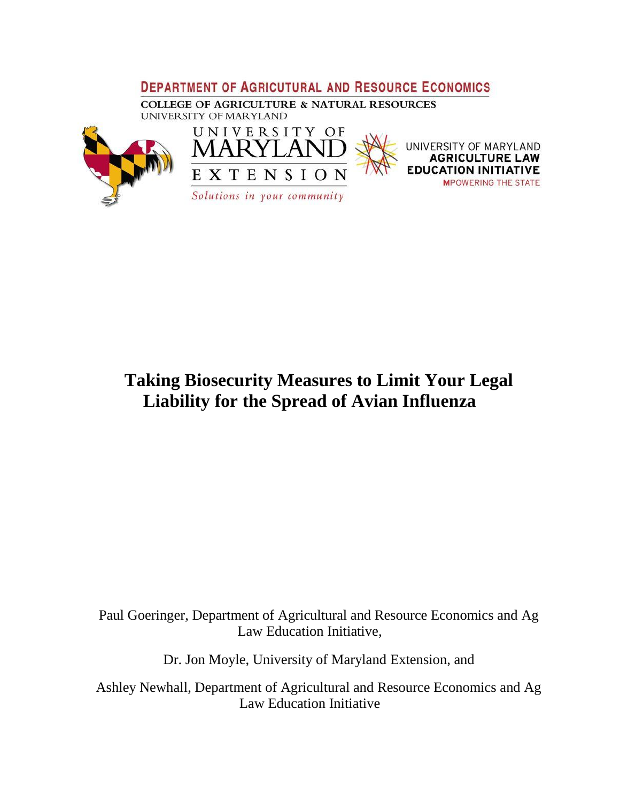## **DEPARTMENT OF AGRICUTURAL AND RESOURCE ECONOMICS**

**COLLEGE OF AGRICULTURE & NATURAL RESOURCES** UNIVERSITY OF MARYLAND





UNIVERSITY OF MARYLAND **ATIVE** EDI **MPOWERING THE STATE** 

**Taking Biosecurity Measures to Limit Your Legal Liability for the Spread of Avian Influenza**

Paul Goeringer, Department of Agricultural and Resource Economics and Ag Law Education Initiative,

Dr. Jon Moyle, University of Maryland Extension, and

Ashley Newhall, Department of Agricultural and Resource Economics and Ag Law Education Initiative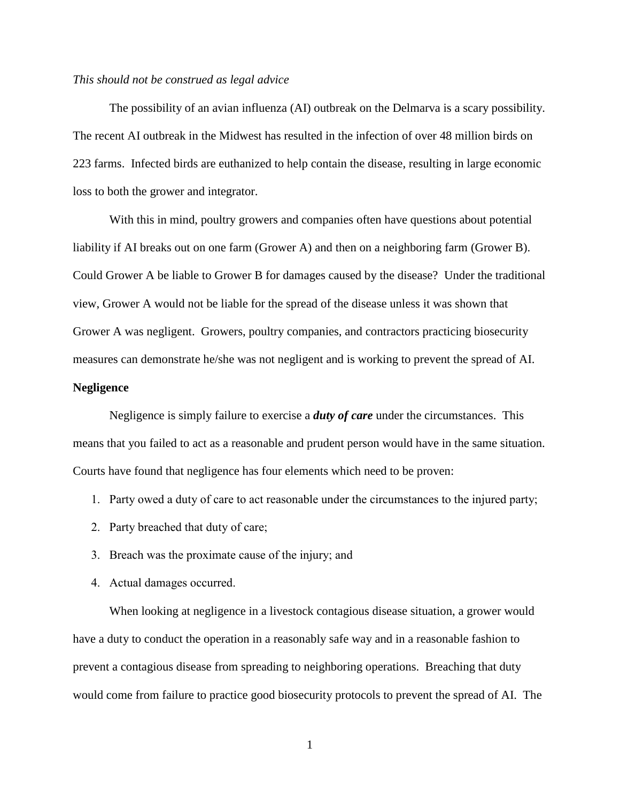## *This should not be construed as legal advice*

The possibility of an avian influenza (AI) outbreak on the Delmarva is a scary possibility. The recent AI outbreak in the Midwest has resulted in the infection of over 48 million birds on 223 farms. Infected birds are euthanized to help contain the disease, resulting in large economic loss to both the grower and integrator.

With this in mind, poultry growers and companies often have questions about potential liability if AI breaks out on one farm (Grower A) and then on a neighboring farm (Grower B). Could Grower A be liable to Grower B for damages caused by the disease? Under the traditional view, Grower A would not be liable for the spread of the disease unless it was shown that Grower A was negligent. Growers, poultry companies, and contractors practicing biosecurity measures can demonstrate he/she was not negligent and is working to prevent the spread of AI.

## **Negligence**

Negligence is simply failure to exercise a *duty of care* under the circumstances. This means that you failed to act as a reasonable and prudent person would have in the same situation. Courts have found that negligence has four elements which need to be proven:

- 1. Party owed a duty of care to act reasonable under the circumstances to the injured party;
- 2. Party breached that duty of care;
- 3. Breach was the proximate cause of the injury; and
- 4. Actual damages occurred.

When looking at negligence in a livestock contagious disease situation, a grower would have a duty to conduct the operation in a reasonably safe way and in a reasonable fashion to prevent a contagious disease from spreading to neighboring operations. Breaching that duty would come from failure to practice good biosecurity protocols to prevent the spread of AI. The

1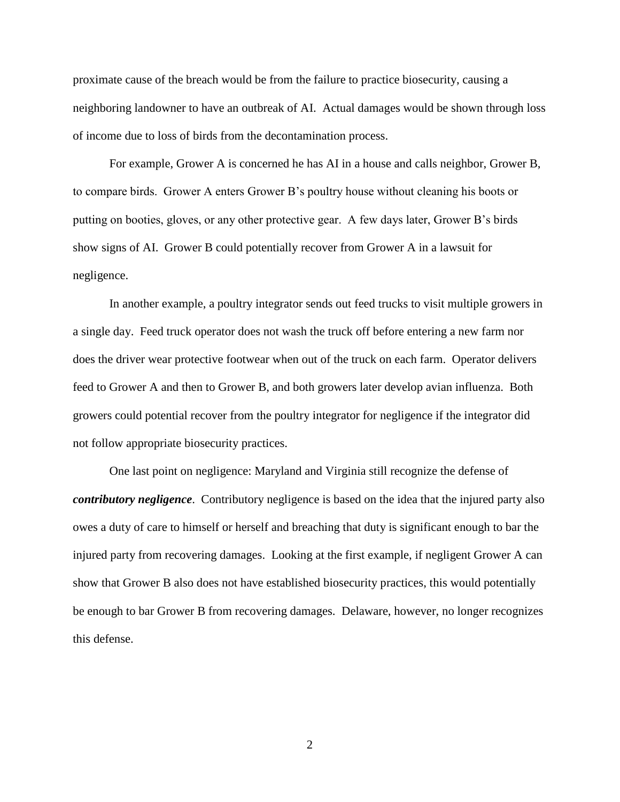proximate cause of the breach would be from the failure to practice biosecurity, causing a neighboring landowner to have an outbreak of AI. Actual damages would be shown through loss of income due to loss of birds from the decontamination process.

For example, Grower A is concerned he has AI in a house and calls neighbor, Grower B, to compare birds. Grower A enters Grower B's poultry house without cleaning his boots or putting on booties, gloves, or any other protective gear. A few days later, Grower B's birds show signs of AI. Grower B could potentially recover from Grower A in a lawsuit for negligence.

In another example, a poultry integrator sends out feed trucks to visit multiple growers in a single day. Feed truck operator does not wash the truck off before entering a new farm nor does the driver wear protective footwear when out of the truck on each farm. Operator delivers feed to Grower A and then to Grower B, and both growers later develop avian influenza. Both growers could potential recover from the poultry integrator for negligence if the integrator did not follow appropriate biosecurity practices.

One last point on negligence: Maryland and Virginia still recognize the defense of *contributory negligence*. Contributory negligence is based on the idea that the injured party also owes a duty of care to himself or herself and breaching that duty is significant enough to bar the injured party from recovering damages. Looking at the first example, if negligent Grower A can show that Grower B also does not have established biosecurity practices, this would potentially be enough to bar Grower B from recovering damages. Delaware, however, no longer recognizes this defense.

2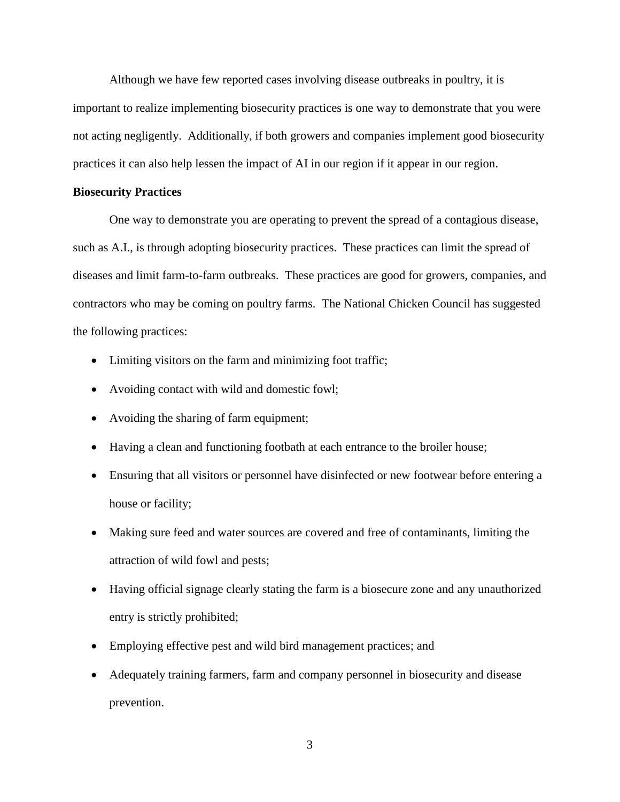Although we have few reported cases involving disease outbreaks in poultry, it is important to realize implementing biosecurity practices is one way to demonstrate that you were not acting negligently. Additionally, if both growers and companies implement good biosecurity practices it can also help lessen the impact of AI in our region if it appear in our region.

## **Biosecurity Practices**

One way to demonstrate you are operating to prevent the spread of a contagious disease, such as A.I., is through adopting biosecurity practices. These practices can limit the spread of diseases and limit farm-to-farm outbreaks. These practices are good for growers, companies, and contractors who may be coming on poultry farms. The National Chicken Council has suggested the following practices:

- Limiting visitors on the farm and minimizing foot traffic;
- Avoiding contact with wild and domestic fowl;
- Avoiding the sharing of farm equipment;
- Having a clean and functioning footbath at each entrance to the broiler house;
- Ensuring that all visitors or personnel have disinfected or new footwear before entering a house or facility;
- Making sure feed and water sources are covered and free of contaminants, limiting the attraction of wild fowl and pests;
- Having official signage clearly stating the farm is a biosecure zone and any unauthorized entry is strictly prohibited;
- Employing effective pest and wild bird management practices; and
- Adequately training farmers, farm and company personnel in biosecurity and disease prevention.